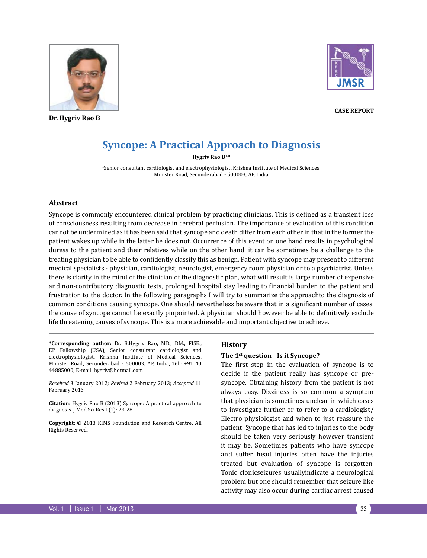

**Dr. Hygriv Rao B**



**Case Report**

# **Syncope: A Practical Approach to Diagnosis**

**Hygriv Rao B1,\***

1 Senior consultant cardiologist and electrophysiologist, Krishna Institute of Medical Sciences, Minister Road, Secunderabad - 500003, AP, India

## **Abstract**

Syncope is commonly encountered clinical problem by practicing clinicians. This is defined as a transient loss of consciousness resulting from decrease in cerebral perfusion. The importance of evaluation of this condition cannot be undermined as it has been said that syncope and death differ from each other in that in the former the patient wakes up while in the latter he does not. Occurrence of this event on one hand results in psychological duress to the patient and their relatives while on the other hand, it can be sometimes be a challenge to the treating physician to be able to confidently classify this as benign. Patient with syncope may present to different medical specialists - physician, cardiologist, neurologist, emergency room physician or to a psychiatrist. Unless there is clarity in the mind of the clinician of the diagnostic plan, what will result is large number of expensive and non-contributory diagnostic tests, prolonged hospital stay leading to financial burden to the patient and frustration to the doctor. In the following paragraphs I will try to summarize the approachto the diagnosis of common conditions causing syncope. One should nevertheless be aware that in a significant number of cases, the cause of syncope cannot be exactly pinpointed. A physician should however be able to definitively exclude life threatening causes of syncope. This is a more achievable and important objective to achieve.

**\*Corresponding author:** Dr. B.Hygriv Rao, MD., DM., FISE., EP Fellowship (USA), Senior consultant cardiologist and electrophysiologist, Krishna Institute of Medical Sciences, Minister Road, Secunderabad - 500003, AP, India, Tel.: +91 40 44885000; E-mail: hygriv@hotmail.com

*Received* 3 January 2012; *Revised* 2 February 2013; *Accepted* 11 February 2013

**Citation:** Hygriv Rao B (2013) Syncope: A practical approach to diagnosis. J Med Sci Res 1(1): 23-28.

**Copyright:** © 2013 KIMS Foundation and Research Centre. All Rights Reserved.

#### **History**

#### **The 1st question - Is it Syncope?**

The first step in the evaluation of syncope is to decide if the patient really has syncope or presyncope. Obtaining history from the patient is not always easy. Dizziness is so common a symptom that physician is sometimes unclear in which cases to investigate further or to refer to a cardiologist/ Electro physiologist and when to just reassure the patient. Syncope that has led to injuries to the body should be taken very seriously however transient it may be. Sometimes patients who have syncope and suffer head injuries often have the injuries treated but evaluation of syncope is forgotten. Tonic clonicseizures usuallyindicate a neurological problem but one should remember that seizure like activity may also occur during cardiac arrest caused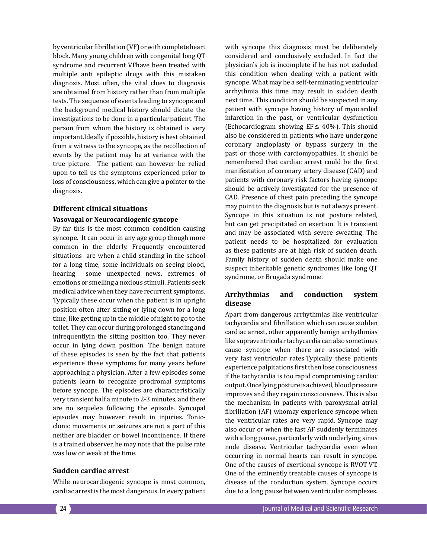by ventricular fibrillation (VF) or with complete heart block. Many young children with congenital long QT syndrome and recurrent VFhave been treated with multiple anti epileptic drugs with this mistaken diagnosis. Most often, the vital clues to diagnosis are obtained from history rather than from multiple tests. The sequence of events leading to syncope and the background medical history should dictate the investigations to be done in a particular patient. The person from whom the history is obtained is very important.Ideally if possible, history is best obtained from a witness to the syncope, as the recollection of events by the patient may be at variance with the true picture. The patient can however be relied upon to tell us the symptoms experienced prior to loss of consciousness, which can give a pointer to the diagnosis.

## **Different clinical situations**

## **Vasovagal or Neurocardiogenic syncope**

By far this is the most common condition causing syncope. It can occur in any age group though more common in the elderly. Frequently encountered situations are when a child standing in the school for a long time, some individuals on seeing blood, hearing some unexpected news, extremes of emotions or smelling a noxious stimuli. Patients seek medical advice when they have recurrent symptoms. Typically these occur when the patient is in upright position often after sitting or lying down for a long time, like getting up in the middle of night to go to the toilet. They can occur during prolonged standing and infrequentlyin the sitting position too. They never occur in lying down position. The benign nature of these episodes is seen by the fact that patients experience these symptoms for many years before approaching a physician. After a few episodes some patients learn to recognize prodromal symptoms before syncope. The episodes are characteristically very transient half a minute to 2-3 minutes, and there are no sequelea following the episode. Syncopal episodes may however result in injuries. Tonicclonic movements or seizures are not a part of this neither are bladder or bowel incontinence. If there is a trained observer, he may note that the pulse rate was low or weak at the time.

### **Sudden cardiac arrest**

While neurocardiogenic syncope is most common, cardiac arrest is the most dangerous. In every patient

with syncope this diagnosis must be deliberately considered and conclusively excluded. In fact the physician's job is incomplete if he has not excluded this condition when dealing with a patient with syncope. What may be a self-terminating ventricular arrhythmia this time may result in sudden death next time. This condition should be suspected in any patient with syncope having history of myocardial infarction in the past, or ventricular dysfunction (Echocardiogram showing  $EF \leq 40\%$ ). This should also be considered in patients who have undergone coronary angioplasty or bypass surgery in the past or those with cardiomyopathies. It should be remembered that cardiac arrest could be the first manifestation of coronary artery disease (CAD) and patients with coronary risk factors having syncope should be actively investigated for the presence of CAD. Presence of chest pain preceding the syncope may point to the diagnosis but is not always present. Syncope in this situation is not posture related, but can get precipitated on exertion. It is transient and may be associated with severe sweating. The patient needs to be hospitalized for evaluation as these patients are at high risk of sudden death. Family history of sudden death should make one suspect inheritable genetic syndromes like long QT syndrome, or Brugada syndrome.

## **Arrhythmias and conduction system disease**

Apart from dangerous arrhythmias like ventricular tachycardia and fibrillation which can cause sudden cardiac arrest, other apparently benign arrhythmias like supraventricular tachycardia can also sometimes cause syncope when there are associated with very fast ventricular rates.Typically these patients experience palpitations first then lose consciousness if the tachycardia is too rapid compromising cardiac output. Once lying posture is achieved, blood pressure improves and they regain consciousness. This is also the mechanism in patients with paroxysmal atrial fibrillation (AF) whomay experience syncope when the ventricular rates are very rapid. Syncope may also occur or when the fast AF suddenly terminates with a long pause, particularly with underlying sinus node disease. Ventricular tachycardia even when occurring in normal hearts can result in syncope. One of the causes of exertional syncope is RVOT VT. One of the eminently treatable causes of syncope is disease of the conduction system. Syncope occurs due to a long pause between ventricular complexes.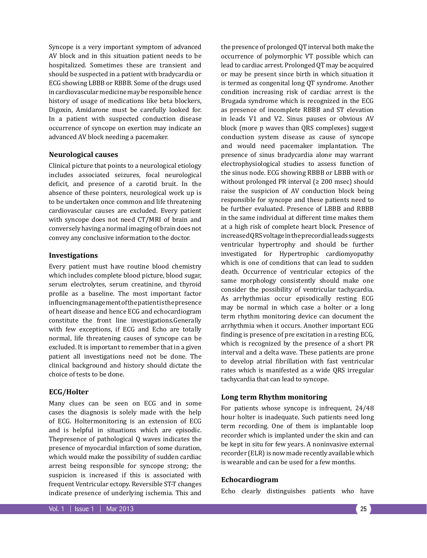Syncope is a very important symptom of advanced AV block and in this situation patient needs to be hospitalized. Sometimes these are transient and should be suspected in a patient with bradycardia or ECG showing LBBB or RBBB. Some of the drugs used in cardiovascular medicine may be responsible hence history of usage of medications like beta blockers, Digoxin, Amidarone must be carefully looked for. In a patient with suspected conduction disease occurrence of syncope on exertion may indicate an advanced AV block needing a pacemaker.

## **Neurological causes**

Clinical picture that points to a neurological etiology includes associated seizures, focal neurological deficit, and presence of a carotid bruit. In the absence of these pointers, neurological work up is to be undertaken once common and life threatening cardiovascular causes are excluded. Every patient with syncope does not need CT/MRI of brain and conversely having a normal imaging of brain does not convey any conclusive information to the doctor.

## **Investigations**

Every patient must have routine blood chemistry which includes complete blood picture, blood sugar, serum electrolytes, serum creatinine, and thyroid profile as a baseline. The most important factor influencing management of the patient is the presence of heart disease and hence ECG and echocardiogram constitute the front line investigations.Generally with few exceptions, if ECG and Echo are totally normal, life threatening causes of syncope can be excluded. It is important to remember that in a given patient all investigations need not be done. The clinical background and history should dictate the choice of tests to be done.

#### **ECG/Holter**

Many clues can be seen on ECG and in some cases the diagnosis is solely made with the help of ECG. Holtermonitoring is an extension of ECG and is helpful in situations which are episodic. Thepresence of pathological Q waves indicates the presence of myocardial infarction of some duration, which would make the possibility of sudden cardiac arrest being responsible for syncope strong; the suspicion is increased if this is associated with frequent Ventricular ectopy. Reversible ST-T changes indicate presence of underlying ischemia. This and

the presence of prolonged QT interval both make the occurrence of polymorphic VT possible which can lead to cardiac arrest. Prolonged QT may be acquired or may be present since birth in which situation it is termed as congenital long QT syndrome. Another condition increasing risk of cardiac arrest is the Brugada syndrome which is recognized in the ECG as presence of incomplete RBBB and ST elevation in leads V1 and V2. Sinus pauses or obvious AV block (more p waves than QRS complexes) suggest conduction system disease as cause of syncope and would need pacemaker implantation. The presence of sinus bradycardia alone may warrant electrophysiological studies to assess function of the sinus node. ECG showing RBBB or LBBB with or without prolonged PR interval ( $\geq 200$  msec) should raise the suspicion of AV conduction block being responsible for syncope and these patients need to be further evaluated. Presence of LBBB and RBBB in the same individual at different time makes them at a high risk of complete heart block. Presence of increased QRS voltage in the precordial leads suggests ventricular hypertrophy and should be further investigated for Hypertrophic cardiomyopathy which is one of conditions that can lead to sudden death. Occurrence of ventricular ectopics of the same morphology consistently should make one consider the possibility of ventricular tachycardia. As arrhythmias occur episodically resting ECG may be normal in which case a holter or a long term rhythm monitoring device can document the arrhythmia when it occurs. Another important ECG finding is presence of pre excitation in a resting ECG, which is recognized by the presence of a short PR interval and a delta wave. These patients are prone to develop atrial fibrillation with fast ventricular rates which is manifested as a wide QRS irregular tachycardia that can lead to syncope.

## **Long term Rhythm monitoring**

For patients whose syncope is infrequent, 24/48 hour holter is inadequate. Such patients need long term recording. One of them is implantable loop recorder which is implanted under the skin and can be kept in situ for few years. A noninvasive external recorder (ELR) is now made recently available which is wearable and can be used for a few months.

#### **Echocardiogram**

Echo clearly distinguishes patients who have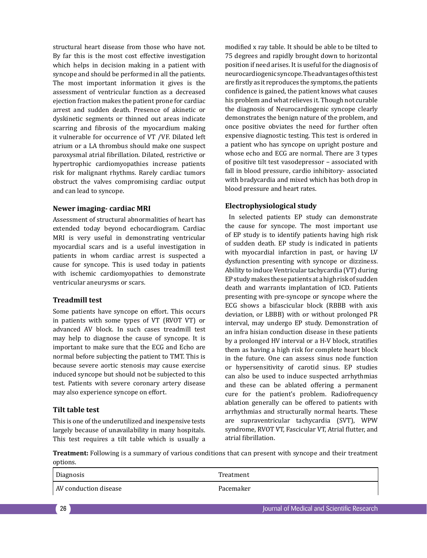structural heart disease from those who have not. By far this is the most cost effective investigation which helps in decision making in a patient with syncope and should be performed in all the patients. The most important information it gives is the assessment of ventricular function as a decreased ejection fraction makes the patient prone for cardiac arrest and sudden death. Presence of akinetic or dyskinetic segments or thinned out areas indicate scarring and fibrosis of the myocardium making it vulnerable for occurrence of VT /VF. Dilated left atrium or a LA thrombus should make one suspect paroxysmal atrial fibrillation. Dilated, restrictive or hypertrophic cardiomyopathies increase patients risk for malignant rhythms. Rarely cardiac tumors obstruct the valves compromising cardiac output and can lead to syncope.

## **Newer imaging- cardiac MRI**

Assessment of structural abnormalities of heart has extended today beyond echocardiogram. Cardiac MRI is very useful in demonstrating ventricular myocardial scars and is a useful investigation in patients in whom cardiac arrest is suspected a cause for syncope. This is used today in patients with ischemic cardiomyopathies to demonstrate ventricular aneurysms or scars.

### **Treadmill test**

Some patients have syncope on effort. This occurs in patients with some types of VT (RVOT VT) or advanced AV block. In such cases treadmill test may help to diagnose the cause of syncope. It is important to make sure that the ECG and Echo are normal before subjecting the patient to TMT. This is because severe aortic stenosis may cause exercise induced syncope but should not be subjected to this test. Patients with severe coronary artery disease may also experience syncope on effort.

#### **Tilt table test**

This is one of the underutilized and inexpensive tests largely because of unavailability in many hospitals. This test requires a tilt table which is usually a modified x ray table. It should be able to be tilted to 75 degrees and rapidly brought down to horizontal position if need arises. It is useful for the diagnosis of neurocardiogenic syncope. The advantages of this test are firstly as it reproduces the symptoms, the patients confidence is gained, the patient knows what causes his problem and what relieves it. Though not curable the diagnosis of Neurocardiogenic syncope clearly demonstrates the benign nature of the problem, and once positive obviates the need for further often expensive diagnostic testing. This test is ordered in a patient who has syncope on upright posture and whose echo and ECG are normal. There are 3 types of positive tilt test vasodepressor – associated with fall in blood pressure, cardio inhibitory- associated with bradycardia and mixed which has both drop in blood pressure and heart rates.

#### **Electrophysiological study**

 In selected patients EP study can demonstrate the cause for syncope. The most important use of EP study is to identify patients having high risk of sudden death. EP study is indicated in patients with myocardial infarction in past, or having LV dysfunction presenting with syncope or dizziness. Ability to induce Ventricular tachycardia (VT) during EP study makes these patients at a high risk of sudden death and warrants implantation of ICD. Patients presenting with pre-syncope or syncope where the ECG shows a bifascicular block (RBBB with axis deviation, or LBBB) with or without prolonged PR interval, may undergo EP study. Demonstration of an infra hisian conduction disease in these patients by a prolonged HV interval or a H-V block, stratifies them as having a high risk for complete heart block in the future. One can assess sinus node function or hypersensitivity of carotid sinus. EP studies can also be used to induce suspected arrhythmias and these can be ablated offering a permanent cure for the patient's problem. Radiofrequency ablation generally can be offered to patients with arrhythmias and structurally normal hearts. These are supraventricular tachycardia (SVT), WPW syndrome, RVOT VT, Fascicular VT, Atrial flutter, and atrial fibrillation.

**Treatment:** Following is a summary of various conditions that can present with syncope and their treatment options.

| Diagnosis             | Treatment |
|-----------------------|-----------|
| AV conduction disease | Pacemaker |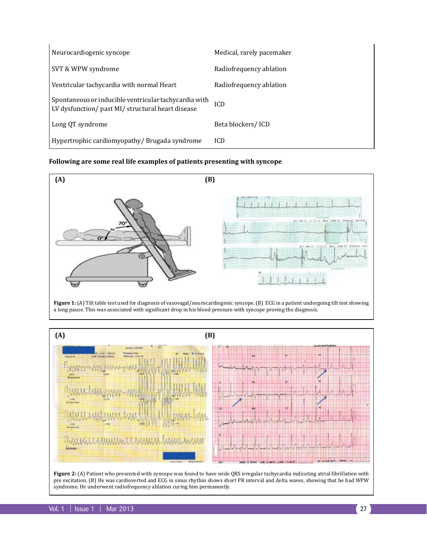| Neurocardiogenic syncope                                                                                   | Medical, rarely pacemaker |
|------------------------------------------------------------------------------------------------------------|---------------------------|
| SVT & WPW syndrome                                                                                         | Radiofrequency ablation   |
| Ventricular tachycardia with normal Heart                                                                  | Radiofrequency ablation   |
| Spontaneous or inducible ventricular tachycardia with<br>LV dysfunction/ past MI/ structural heart disease | <b>ICD</b>                |
| Long QT syndrome                                                                                           | Beta blockers/ICD         |
| Hypertrophic cardiomyopathy/Brugada syndrome                                                               | <b>ICD</b>                |

# **Following are some real life examples of patients presenting with syncope**



Figure 1: (A) Tilt table test used for diagnosis of vasovagal/neurocardiogenic syncope. (B) ECG in a patient undergoing tilt test showing a long pause. This was associated with significant drop in his blood pressure with syncope proving the diagnosis.



**Figure 2:** (A) Patient who presented with syncope was found to have wide QRS irregular tachycardia indicating atrial fibrillation with pre excitation. (B) He was cardioverted and ECG in sinus rhythm shows short PR interval and delta waves, showing that he had WPW syndrome. He underwent radiofrequency ablation curing him permanently.